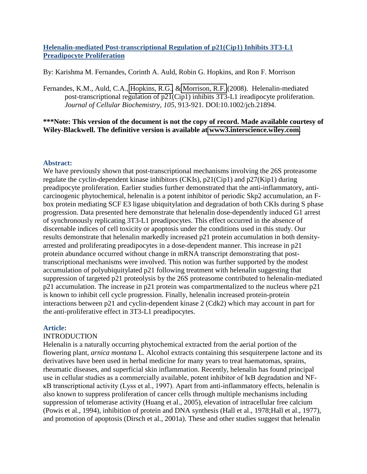# **Helenalin-mediated Post-transcriptional Regulation of p21(Cip1) Inhibits 3T3-L1 Preadipocyte Proliferation**

By: Karishma M. Fernandes, Corinth A. Auld, Robin G. Hopkins, and Ron F. Morrison

Fernandes, K.M., Auld, C.A., [Hopkins, R.G.,](http://libres.uncg.edu/ir/clist.aspx?id=4343) & [Morrison, R.F.](http://libres.uncg.edu/ir/clist.aspx?id=1320) (2008). Helenalin-mediated post-transcriptional regulation of p21(Cip1) inhibits 3T3-L1 ireadipocyte proliferation. *Journal of Cellular Biochemistry, 105*, 913-921. DOI:10.1002/jcb.21894.

## **\*\*\*Note: This version of the document is not the copy of record. Made available courtesy of Wiley-Blackwell. The definitive version is available at [www3.interscience.wiley.com.](www3.interscience.wiley.com)**

## **Abstract:**

We have previously shown that post-transcriptional mechanisms involving the 26S proteasome regulate the cyclin-dependent kinase inhibitors (CKIs), p21(Cip1) and p27(Kip1) during preadipocyte proliferation. Earlier studies further demonstrated that the anti-inflammatory, anticarcinogenic phytochemical, helenalin is a potent inhibitor of periodic Skp2 accumulation, an Fbox protein mediating SCF E3 ligase ubiquitylation and degradation of both CKIs during S phase progression. Data presented here demonstrate that helenalin dose-dependently induced G1 arrest of synchronously replicating 3T3-L1 preadipocytes. This effect occurred in the absence of discernable indices of cell toxicity or apoptosis under the conditions used in this study. Our results demonstrate that helenalin markedly increased p21 protein accumulation in both densityarrested and proliferating preadipocytes in a dose-dependent manner. This increase in p21 protein abundance occurred without change in mRNA transcript demonstrating that posttranscriptional mechanisms were involved. This notion was further supported by the modest accumulation of polyubiquitylated p21 following treatment with helenalin suggesting that suppression of targeted p21 proteolysis by the 26S proteasome contributed to helenalin-mediated p21 accumulation. The increase in p21 protein was compartmentalized to the nucleus where p21 is known to inhibit cell cycle progression. Finally, helenalin increased protein-protein interactions between p21 and cyclin-dependent kinase 2 (Cdk2) which may account in part for the anti-proliferative effect in 3T3-L1 preadipocytes.

## **Article:**

## **INTRODUCTION**

Helenalin is a naturally occurring phytochemical extracted from the aerial portion of the flowering plant, *arnica montana* L. Alcohol extracts containing this sesquiterpene lactone and its derivatives have been used in herbal medicine for many years to treat haematomas, sprains, rheumatic diseases, and superficial skin inflammation. Recently, helenalin has found principal use in cellular studies as a commercially available, potent inhibitor of IκB degradation and NFκB transcriptional activity (Lyss et al., 1997). Apart from anti-inflammatory effects, helenalin is also known to suppress proliferation of cancer cells through multiple mechanisms including suppression of telomerase activity (Huang et al., 2005), elevation of intracellular free calcium (Powis et al., 1994), inhibition of protein and DNA synthesis (Hall et al., 1978;Hall et al., 1977), and promotion of apoptosis (Dirsch et al., 2001a). These and other studies suggest that helenalin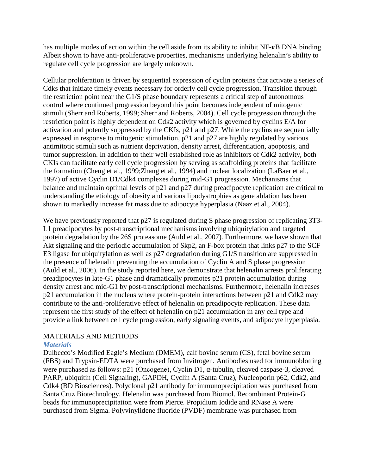has multiple modes of action within the cell aside from its ability to inhibit NF-κB DNA binding. Albeit shown to have anti-proliferative properties, mechanisms underlying helenalin's ability to regulate cell cycle progression are largely unknown.

Cellular proliferation is driven by sequential expression of cyclin proteins that activate a series of Cdks that initiate timely events necessary for orderly cell cycle progression. Transition through the restriction point near the G1/S phase boundary represents a critical step of autonomous control where continued progression beyond this point becomes independent of mitogenic stimuli (Sherr and Roberts, 1999; Sherr and Roberts, 2004). Cell cycle progression through the restriction point is highly dependent on Cdk2 activity which is governed by cyclins E/A for activation and potently suppressed by the CKIs, p21 and p27. While the cyclins are sequentially expressed in response to mitogenic stimulation, p21 and p27 are highly regulated by various antimitotic stimuli such as nutrient deprivation, density arrest, differentiation, apoptosis, and tumor suppression. In addition to their well established role as inhibitors of Cdk2 activity, both CKIs can facilitate early cell cycle progression by serving as scaffolding proteins that facilitate the formation (Cheng et al., 1999;Zhang et al., 1994) and nuclear localization (LaBaer et al., 1997) of active Cyclin D1/Cdk4 complexes during mid-G1 progression. Mechanisms that balance and maintain optimal levels of p21 and p27 during preadipocyte replication are critical to understanding the etiology of obesity and various lipodystrophies as gene ablation has been shown to markedly increase fat mass due to adipocyte hyperplasia (Naaz et al., 2004).

We have previously reported that p27 is regulated during S phase progression of replicating 3T3-L1 preadipocytes by post-transcriptional mechanisms involving ubiquitylation and targeted protein degradation by the 26S proteasome (Auld et al., 2007). Furthermore, we have shown that Akt signaling and the periodic accumulation of Skp2, an F-box protein that links p27 to the SCF E3 ligase for ubiquitylation as well as p27 degradation during G1/S transition are suppressed in the presence of helenalin preventing the accumulation of Cyclin A and S phase progression (Auld et al., 2006). In the study reported here, we demonstrate that helenalin arrests proliferating preadipocytes in late-G1 phase and dramatically promotes p21 protein accumulation during density arrest and mid-G1 by post-transcriptional mechanisms. Furthermore, helenalin increases p21 accumulation in the nucleus where protein-protein interactions between p21 and Cdk2 may contribute to the anti-proliferative effect of helenalin on preadipocyte replication. These data represent the first study of the effect of helenalin on p21 accumulation in any cell type and provide a link between cell cycle progression, early signaling events, and adipocyte hyperplasia.

# MATERIALS AND METHODS

## *Materials*

Dulbecco's Modified Eagle's Medium (DMEM), calf bovine serum (CS), fetal bovine serum (FBS) and Trypsin-EDTA were purchased from Invitrogen. Antibodies used for immunoblotting were purchased as follows: p21 (Oncogene), Cyclin D1, α-tubulin, cleaved caspase-3, cleaved PARP, ubiquitin (Cell Signaling), GAPDH, Cyclin A (Santa Cruz), Nucleoporin p62, Cdk2, and Cdk4 (BD Biosciences). Polyclonal p21 antibody for immunoprecipitation was purchased from Santa Cruz Biotechnology. Helenalin was purchased from Biomol. Recombinant Protein-G beads for immunoprecipitation were from Pierce. Propidium Iodide and RNase A were purchased from Sigma. Polyvinylidene fluoride (PVDF) membrane was purchased from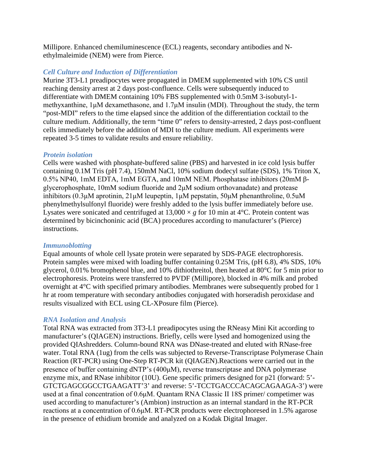Millipore. Enhanced chemiluminescence (ECL) reagents, secondary antibodies and Nethylmaleimide (NEM) were from Pierce.

## *Cell Culture and Induction of Differentiation*

Murine 3T3-L1 preadipocytes were propagated in DMEM supplemented with 10% CS until reaching density arrest at 2 days post-confluence. Cells were subsequently induced to differentiate with DMEM containing 10% FBS supplemented with 0.5mM 3-isobutyl-1 methyxanthine, 1μM dexamethasone, and 1.7μM insulin (MDI). Throughout the study, the term "post-MDI" refers to the time elapsed since the addition of the differentiation cocktail to the culture medium. Additionally, the term "time 0" refers to density-arrested, 2 days post-confluent cells immediately before the addition of MDI to the culture medium. All experiments were repeated 3-5 times to validate results and ensure reliability.

## *Protein isolation*

Cells were washed with phosphate-buffered saline (PBS) and harvested in ice cold lysis buffer containing 0.1M Tris (pH 7.4), 150mM NaCl, 10% sodium dodecyl sulfate (SDS), 1% Triton X, 0.5% NP40, 1mM EDTA, 1mM EGTA, and 10mM NEM. Phosphatase inhibitors (20mM βglycerophosphate, 10mM sodium fluoride and 2μM sodium orthovanadate) and protease inhibitors (0.3μM aprotinin, 21μM leupeptin, 1μM pepstatin, 50μM phenanthroline, 0.5uM phenylmethylsulfonyl fluoride) were freshly added to the lysis buffer immediately before use. Lysates were sonicated and centrifuged at  $13,000 \times g$  for 10 min at 4<sup>o</sup>C. Protein content was determined by bicinchoninic acid (BCA) procedures according to manufacturer's (Pierce) instructions.

# *Immunoblotting*

Equal amounts of whole cell lysate protein were separated by SDS-PAGE electrophoresis. Protein samples were mixed with loading buffer containing 0.25M Tris, (pH 6.8), 4% SDS, 10% glycerol, 0.01% bromophenol blue, and 10% dithiothreitol, then heated at 80°C for 5 min prior to electrophoresis. Proteins were transferred to PVDF (Millipore), blocked in 4% milk and probed overnight at 4°C with specified primary antibodies. Membranes were subsequently probed for 1 hr at room temperature with secondary antibodies conjugated with horseradish peroxidase and results visualized with ECL using CL-XPosure film (Pierce).

# *RNA Isolation and Analysis*

Total RNA was extracted from 3T3-L1 preadipocytes using the RNeasy Mini Kit according to manufacturer's (QIAGEN) instructions. Briefly, cells were lysed and homogenized using the provided QIAshredders. Column-bound RNA was DNase-treated and eluted with RNase-free water. Total RNA (1ug) from the cells was subjected to Reverse-Transcriptase Polymerase Chain Reaction (RT-PCR) using One-Step RT-PCR kit (QIAGEN).Reactions were carried out in the presence of buffer containing dNTP's (400μM), reverse transcriptase and DNA polymerase enzyme mix, and RNase inhibitor (10U). Gene specific primers designed for p21 (forward: 5'- GTCTGAGCGGCCTGAAGATT'3' and reverse: 5'-TCCTGACCCACAGCAGAAGA-3') were used at a final concentration of 0.6μM. Quantam RNA Classic II 18S primer/ competimer was used according to manufacturer's (Ambion) instruction as an internal standard in the RT-PCR reactions at a concentration of 0.6μM. RT-PCR products were electrophoresed in 1.5% agarose in the presence of ethidium bromide and analyzed on a Kodak Digital Imager.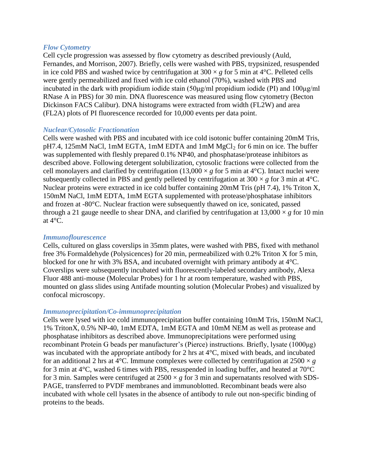#### *Flow Cytometry*

Cell cycle progression was assessed by flow cytometry as described previously (Auld, Fernandes, and Morrison, 2007). Briefly, cells were washed with PBS, trypsinized, resuspended in ice cold PBS and washed twice by centrifugation at  $300 \times g$  for 5 min at 4<sup>o</sup>C. Pelleted cells were gently permeabilized and fixed with ice cold ethanol (70%), washed with PBS and incubated in the dark with propidium iodide stain (50μg/ml propidium iodide (PI) and 100μg/ml RNase A in PBS) for 30 min. DNA fluorescence was measured using flow cytometry (Becton Dickinson FACS Calibur). DNA histograms were extracted from width (FL2W) and area (FL2A) plots of PI fluorescence recorded for 10,000 events per data point.

## *Nuclear/Cytosolic Fractionation*

Cells were washed with PBS and incubated with ice cold isotonic buffer containing 20mM Tris,  $pH7.4$ , 125mM NaCl, 1mM EGTA, 1mM EDTA and 1mM  $MgCl<sub>2</sub>$  for 6 min on ice. The buffer was supplemented with fleshly prepared 0.1% NP40, and phosphatase/protease inhibitors as described above. Following detergent solubilization, cytosolic fractions were collected from the cell monolayers and clarified by centrifugation (13,000  $\times$  *g* for 5 min at 4<sup>o</sup>C). Intact nuclei were subsequently collected in PBS and gently pelleted by centrifugation at  $300 \times g$  for 3 min at  $4^{\circ}$ C. Nuclear proteins were extracted in ice cold buffer containing 20mM Tris (pH 7.4), 1% Triton X, 150mM NaCl, 1mM EDTA, 1mM EGTA supplemented with protease/phosphatase inhibitors and frozen at -80°C. Nuclear fraction were subsequently thawed on ice, sonicated, passed through a 21 gauge needle to shear DNA, and clarified by centrifugation at  $13,000 \times g$  for 10 min at 4°C.

#### *Immunoflourescence*

Cells, cultured on glass coverslips in 35mm plates, were washed with PBS, fixed with methanol free 3% Formaldehyde (Polysicences) for 20 min, permeabilized with 0.2% Triton X for 5 min, blocked for one hr with 3% BSA, and incubated overnight with primary antibody at 4°C. Coverslips were subsequently incubated with fluorescently-labeled secondary antibody, Alexa Fluor 488 anti-mouse (Molecular Probes) for 1 hr at room temperature, washed with PBS, mounted on glass slides using Antifade mounting solution (Molecular Probes) and visualized by confocal microscopy.

#### *Immunoprecipitation/Co-immunoprecipitation*

Cells were lysed with ice cold immunoprecipitation buffer containing 10mM Tris, 150mM NaCl, 1% TritonX, 0.5% NP-40, 1mM EDTA, 1mM EGTA and 10mM NEM as well as protease and phosphatase inhibitors as described above. Immunoprecipitations were performed using recombinant Protein G beads per manufacturer's (Pierce) instructions. Briefly, lysate (1000μg) was incubated with the appropriate antibody for 2 hrs at 4°C, mixed with beads, and incubated for an additional 2 hrs at 4<sup>o</sup>C. Immune complexes were collected by centrifugation at  $2500 \times g$ for 3 min at 4°C, washed 6 times with PBS, resuspended in loading buffer, and heated at 70°C for 3 min. Samples were centrifuged at  $2500 \times g$  for 3 min and supernatants resolved with SDS-PAGE, transferred to PVDF membranes and immunoblotted. Recombinant beads were also incubated with whole cell lysates in the absence of antibody to rule out non-specific binding of proteins to the beads.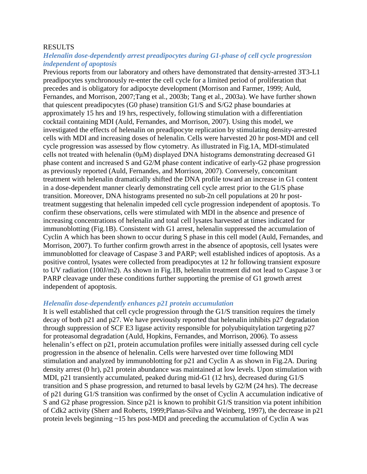#### **RESULTS**

## *Helenalin dose-dependently arrest preadipocytes during G1-phase of cell cycle progression independent of apoptosis*

Previous reports from our laboratory and others have demonstrated that density-arrested 3T3-L1 preadipocytes synchronously re-enter the cell cycle for a limited period of proliferation that precedes and is obligatory for adipocyte development (Morrison and Farmer, 1999; Auld, Fernandes, and Morrison, 2007;Tang et al., 2003b; Tang et al., 2003a). We have further shown that quiescent preadipocytes (G0 phase) transition G1/S and S/G2 phase boundaries at approximately 15 hrs and 19 hrs, respectively, following stimulation with a differentiation cocktail containing MDI (Auld, Fernandes, and Morrison, 2007). Using this model, we investigated the effects of helenalin on preadipocyte replication by stimulating density-arrested cells with MDI and increasing doses of helenalin. Cells were harvested 20 hr post-MDI and cell cycle progression was assessed by flow cytometry. As illustrated in Fig.1A, MDI-stimulated cells not treated with helenalin (0μM) displayed DNA histograms demonstrating decreased G1 phase content and increased S and G2/M phase content indicative of early-G2 phase progression as previously reported (Auld, Fernandes, and Morrison, 2007). Conversely, concomitant treatment with helenalin dramatically shifted the DNA profile toward an increase in G1 content in a dose-dependent manner clearly demonstrating cell cycle arrest prior to the G1/S phase transition. Moreover, DNA histograms presented no sub-2n cell populations at 20 hr posttreatment suggesting that helenalin impeded cell cycle progression independent of apoptosis. To confirm these observations, cells were stimulated with MDI in the absence and presence of increasing concentrations of helenalin and total cell lysates harvested at times indicated for immunoblotting (Fig.1B). Consistent with G1 arrest, helenalin suppressed the accumulation of Cyclin A which has been shown to occur during S phase in this cell model (Auld, Fernandes, and Morrison, 2007). To further confirm growth arrest in the absence of apoptosis, cell lysates were immunoblotted for cleavage of Caspase 3 and PARP; well established indices of apoptosis. As a positive control, lysates were collected from preadipocytes at 12 hr following transient exposure to UV radiation (100J/m2). As shown in Fig.1B, helenalin treatment did not lead to Caspase 3 or PARP cleavage under these conditions further supporting the premise of G1 growth arrest independent of apoptosis.

#### *Helenalin dose-dependently enhances p21 protein accumulation*

It is well established that cell cycle progression through the G1/S transition requires the timely decay of both p21 and p27. We have previously reported that helenalin inhibits p27 degradation through suppression of SCF E3 ligase activity responsible for polyubiquitylation targeting p27 for proteasomal degradation (Auld, Hopkins, Fernandes, and Morrison, 2006). To assess helenalin's effect on p21, protein accumulation profiles were initially assessed during cell cycle progression in the absence of helenalin. Cells were harvested over time following MDI stimulation and analyzed by immunoblotting for p21 and Cyclin A as shown in Fig.2A. During density arrest (0 hr), p21 protein abundance was maintained at low levels. Upon stimulation with MDI, p21 transiently accumulated, peaked during mid-G1 (12 hrs), decreased during G1/S transition and S phase progression, and returned to basal levels by G2/M (24 hrs). The decrease of p21 during G1/S transition was confirmed by the onset of Cyclin A accumulation indicative of S and G2 phase progression. Since p21 is known to prohibit G1/S transition via potent inhibition of Cdk2 activity (Sherr and Roberts, 1999;Planas-Silva and Weinberg, 1997), the decrease in p21 protein levels beginning ~15 hrs post-MDI and preceding the accumulation of Cyclin A was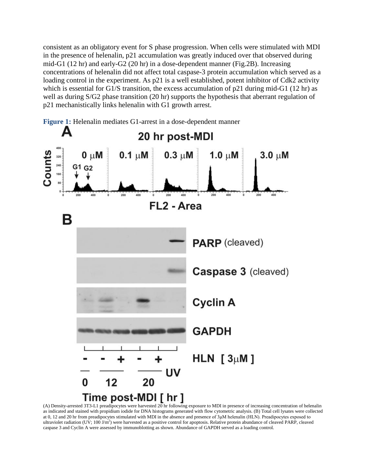consistent as an obligatory event for S phase progression. When cells were stimulated with MDI in the presence of helenalin, p21 accumulation was greatly induced over that observed during mid-G1 (12 hr) and early-G2 (20 hr) in a dose-dependent manner (Fig.2B). Increasing concentrations of helenalin did not affect total caspase-3 protein accumulation which served as a loading control in the experiment. As p21 is a well established, potent inhibitor of Cdk2 activity which is essential for G1/S transition, the excess accumulation of p21 during mid-G1 (12 hr) as well as during S/G2 phase transition (20 hr) supports the hypothesis that aberrant regulation of p21 mechanistically links helenalin with G1 growth arrest.



(A) Density-arrested 3T3-L1 preadipocytes were harvested 20 hr following exposure to MDI in presence of increasing concentration of helenalin as indicated and stained with propidium iodide for DNA histograms generated with flow cytometric analysis. (B) Total cell lysates were collected at 0, 12 and 20 hr from preadipocytes stimulated with MDI in the absence and presence of 3μM helenalin (HLN). Preadipocytes exposed to ultraviolet radiation (UV; 100 J/m<sup>2</sup>) were harvested as a positive control for apoptosis. Relative protein abundance of cleaved PARP, cleaved caspase 3 and Cyclin A were assessed by immunoblotting as shown. Abundance of GAPDH served as a loading control.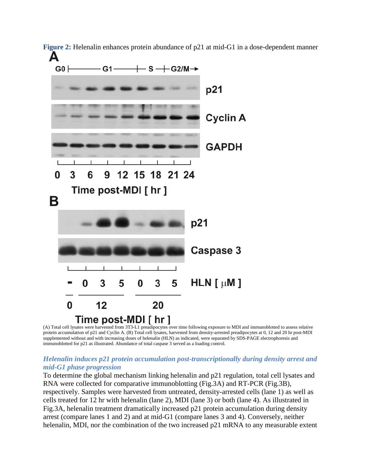

**Figure 2:** Helenalin enhances protein abundance of p21 at mid-G1 in a dose-dependent manner Δ

(A) Total cell lysates were harvested from 3T3-L1 preadipocytes over time following exposure to MDI and immunoblotted to assess relative protein accumulation of p21 and Cyclin A. (B) Total cell lysates, harvested from density-arrested preadipocytes at 0, 12 and 20 hr post-MDI supplemented without and with increasing doses of helenalin (HLN) as indicated, were separated by SDS-PAGE electrophoresis and immunoblotted for p21 as illustrated. Abundance of total caspase 3 served as a loading control.

## *Helenalin induces p21 protein accumulation post-transcriptionally during density arrest and mid-G1 phase progression*

To determine the global mechanism linking helenalin and p21 regulation, total cell lysates and RNA were collected for comparative immunoblotting (Fig.3A) and RT-PCR (Fig.3B), respectively. Samples were harvested from untreated, density-arrested cells (lane 1) as well as cells treated for 12 hr with helenalin (lane 2), MDI (lane 3) or both (lane 4). As illustrated in Fig.3A, helenalin treatment dramatically increased p21 protein accumulation during density arrest (compare lanes 1 and 2) and at mid-G1 (compare lanes 3 and 4). Conversely, neither helenalin, MDI, nor the combination of the two increased p21 mRNA to any measurable extent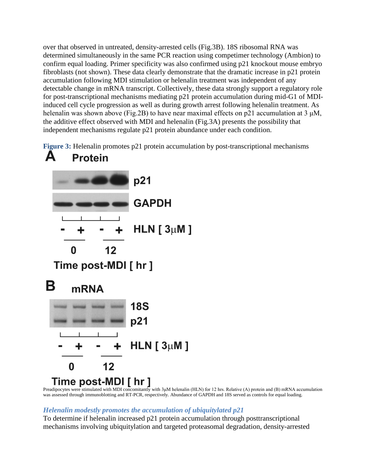over that observed in untreated, density-arrested cells (Fig.3B). 18S ribosomal RNA was determined simultaneously in the same PCR reaction using competimer technology (Ambion) to confirm equal loading. Primer specificity was also confirmed using p21 knockout mouse embryo fibroblasts (not shown). These data clearly demonstrate that the dramatic increase in p21 protein accumulation following MDI stimulation or helenalin treatment was independent of any detectable change in mRNA transcript. Collectively, these data strongly support a regulatory role for post-transcriptional mechanisms mediating p21 protein accumulation during mid-G1 of MDIinduced cell cycle progression as well as during growth arrest following helenalin treatment. As helenalin was shown above (Fig.2B) to have near maximal effects on p21 accumulation at 3 μM, the additive effect observed with MDI and helenalin (Fig.3A) presents the possibility that independent mechanisms regulate p21 protein abundance under each condition.

**Figure 3:** Helenalin promotes p21 protein accumulation by post-transcriptional mechanisms



Preadipocytes were stimulated with MDI concomitantly with 3μM helenalin (HLN) for 12 hrs. Relative (A) protein and (B) mRNA accumulation was assessed through immunoblotting and RT-PCR, respectively. Abundance of GAPDH and 18S served as controls for equal loading.

# *Helenalin modestly promotes the accumulation of ubiquitylated p21*

To determine if helenalin increased p21 protein accumulation through posttranscriptional mechanisms involving ubiquitylation and targeted proteasomal degradation, density-arrested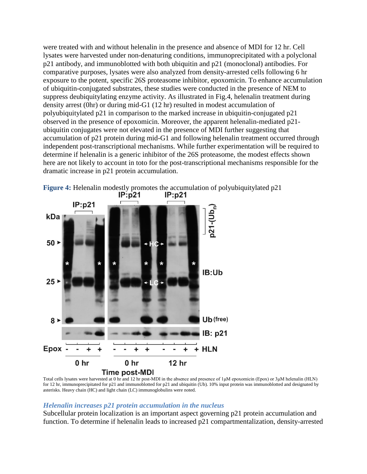were treated with and without helenalin in the presence and absence of MDI for 12 hr. Cell lysates were harvested under non-denaturing conditions, immunoprecipitated with a polyclonal p21 antibody, and immunoblotted with both ubiquitin and p21 (monoclonal) antibodies. For comparative purposes, lysates were also analyzed from density-arrested cells following 6 hr exposure to the potent, specific 26S proteasome inhibitor, epoxomicin. To enhance accumulation of ubiquitin-conjugated substrates, these studies were conducted in the presence of NEM to suppress deubiquitylating enzyme activity. As illustrated in Fig.4, helenalin treatment during density arrest (0hr) or during mid-G1 (12 hr) resulted in modest accumulation of polyubiquitylated p21 in comparison to the marked increase in ubiquitin-conjugated p21 observed in the presence of epoxomicin. Moreover, the apparent helenalin-mediated p21 ubiquitin conjugates were not elevated in the presence of MDI further suggesting that accumulation of p21 protein during mid-G1 and following helenalin treatment occurred through independent post-transcriptional mechanisms. While further experimentation will be required to determine if helenalin is a generic inhibitor of the 26S proteasome, the modest effects shown here are not likely to account in toto for the post-transcriptional mechanisms responsible for the dramatic increase in p21 protein accumulation.



**Figure 4:** Helenalin modestly promotes the accumulation of polyubiquitylated p21<br>**IP:p21 IP:p21** 

Total cells lysates were harvested at 0 hr and 12 hr post-MDI in the absence and presence of 1μM epoxomicin (Epox) or 3μM helenalin (HLN) for 12 hr, immunoprecipitated for p21 and immunoblotted for p21 and ubiquitin (Ub). 10% input protein was immunoblotted and designated by asterisks. Heavy chain (HC) and light chain (LC) immunoglobulins were noted.

#### *Helenalin increases p21 protein accumulation in the nucleus*

Subcellular protein localization is an important aspect governing p21 protein accumulation and function. To determine if helenalin leads to increased p21 compartmentalization, density-arrested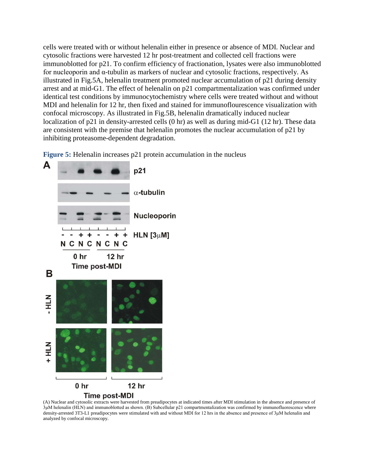cells were treated with or without helenalin either in presence or absence of MDI. Nuclear and cytosolic fractions were harvested 12 hr post-treatment and collected cell fractions were immunoblotted for p21. To confirm efficiency of fractionation, lysates were also immunoblotted for nucleoporin and α-tubulin as markers of nuclear and cytosolic fractions, respectively. As illustrated in Fig.5A, helenalin treatment promoted nuclear accumulation of p21 during density arrest and at mid-G1. The effect of helenalin on p21 compartmentalization was confirmed under identical test conditions by immunocytochemistry where cells were treated without and without MDI and helenalin for 12 hr, then fixed and stained for immunoflourescence visualization with confocal microscopy. As illustrated in Fig.5B, helenalin dramatically induced nuclear localization of p21 in density-arrested cells (0 hr) as well as during mid-G1 (12 hr). These data are consistent with the premise that helenalin promotes the nuclear accumulation of p21 by inhibiting proteasome-dependent degradation.

**Figure 5:** Helenalin increases p21 protein accumulation in the nucleus



(A) Nuclear and cytosolic extracts were harvested from preadipocytes at indicated times after MDI stimulation in the absence and presence of 3μM helenalin (HLN) and immunoblotted as shown. (B) Subcellular p21 compartmentalization was confirmed by immunofluorescence where density-arrested 3T3-L1 preadipocytes were stimulated with and without MDI for 12 hrs in the absence and presence of 3μM helenalin and analyzed by confocal microscopy.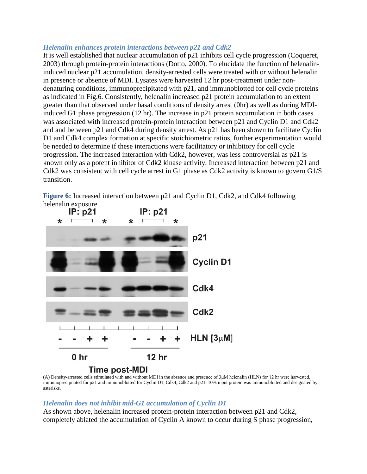#### *Helenalin enhances protein interactions between p21 and Cdk2*

It is well established that nuclear accumulation of p21 inhibits cell cycle progression (Coqueret, 2003) through protein-protein interactions (Dotto, 2000). To elucidate the function of helenalininduced nuclear p21 accumulation, density-arrested cells were treated with or without helenalin in presence or absence of MDI. Lysates were harvested 12 hr post-treatment under nondenaturing conditions, immunoprecipitated with p21, and immunoblotted for cell cycle proteins as indicated in Fig.6. Consistently, helenalin increased p21 protein accumulation to an extent greater than that observed under basal conditions of density arrest (0hr) as well as during MDIinduced G1 phase progression (12 hr). The increase in p21 protein accumulation in both cases was associated with increased protein-protein interaction between p21 and Cyclin D1 and Cdk2 and and between p21 and Cdk4 during density arrest. As p21 has been shown to facilitate Cyclin D1 and Cdk4 complex formation at specific stoichiometric ratios, further experimentation would be needed to determine if these interactions were facilitatory or inhibitory for cell cycle progression. The increased interaction with Cdk2, however, was less controversial as p21 is known only as a potent inhibitor of Cdk2 kinase activity. Increased interaction between p21 and Cdk2 was consistent with cell cycle arrest in G1 phase as Cdk2 activity is known to govern G1/S transition.

**Figure 6:** Increased interaction between p21 and Cyclin D1, Cdk2, and Cdk4 following



(A) Density-arrested cells stimulated with and without MDI in the absence and presence of 3μM helenalin (HLN) for 12 hr were harvested, immunoprecipitated for p21 and immunoblotted for Cyclin D1, Cdk4, Cdk2 and p21. 10% input protein was immunoblotted and designated by asterisks.

## *Helenalin does not inhibit mid-G1 accumulation of Cyclin D1*

As shown above, helenalin increased protein-protein interaction between p21 and Cdk2, completely ablated the accumulation of Cyclin A known to occur during S phase progression,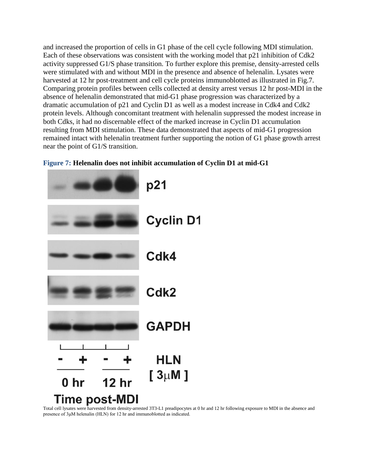and increased the proportion of cells in G1 phase of the cell cycle following MDI stimulation. Each of these observations was consistent with the working model that p21 inhibition of Cdk2 activity suppressed G1/S phase transition. To further explore this premise, density-arrested cells were stimulated with and without MDI in the presence and absence of helenalin. Lysates were harvested at 12 hr post-treatment and cell cycle proteins immunoblotted as illustrated in Fig.7. Comparing protein profiles between cells collected at density arrest versus 12 hr post-MDI in the absence of helenalin demonstrated that mid-G1 phase progression was characterized by a dramatic accumulation of p21 and Cyclin D1 as well as a modest increase in Cdk4 and Cdk2 protein levels. Although concomitant treatment with helenalin suppressed the modest increase in both Cdks, it had no discernable effect of the marked increase in Cyclin D1 accumulation resulting from MDI stimulation. These data demonstrated that aspects of mid-G1 progression remained intact with helenalin treatment further supporting the notion of G1 phase growth arrest near the point of G1/S transition.





Total cell lysates were harvested from density-arrested 3T3-L1 preadipocytes at 0 hr and 12 hr following exposure to MDI in the absence and presence of 3μM helenalin (HLN) for 12 hr and immunoblotted as indicated.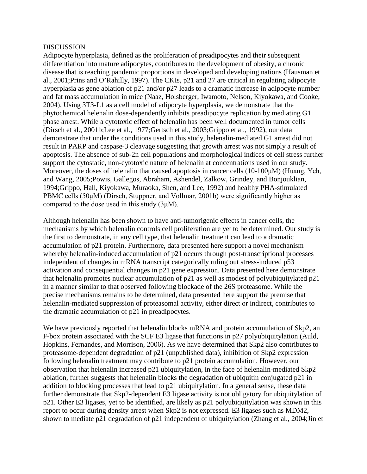#### DISCUSSION

Adipocyte hyperplasia, defined as the proliferation of preadipocytes and their subsequent differentiation into mature adipocytes, contributes to the development of obesity, a chronic disease that is reaching pandemic proportions in developed and developing nations (Hausman et al., 2001;Prins and O'Rahilly, 1997). The CKIs, p21 and 27 are critical in regulating adipocyte hyperplasia as gene ablation of p21 and/or p27 leads to a dramatic increase in adipocyte number and fat mass accumulation in mice (Naaz, Holsberger, Iwamoto, Nelson, Kiyokawa, and Cooke, 2004). Using 3T3-L1 as a cell model of adipocyte hyperplasia, we demonstrate that the phytochemical helenalin dose-dependently inhibits preadipocyte replication by mediating G1 phase arrest. While a cytotoxic effect of helenalin has been well documented in tumor cells (Dirsch et al., 2001b;Lee et al., 1977;Gertsch et al., 2003;Grippo et al., 1992), our data demonstrate that under the conditions used in this study, helenalin-mediated G1 arrest did not result in PARP and caspase-3 cleavage suggesting that growth arrest was not simply a result of apoptosis. The absence of sub-2n cell populations and morphological indices of cell stress further support the cytostatic, non-cytotoxic nature of helenalin at concentrations used in our study. Moreover, the doses of helenalin that caused apoptosis in cancer cells (10-100μM) (Huang, Yeh, and Wang, 2005;Powis, Gallegos, Abraham, Ashendel, Zalkow, Grindey, and Bonjouklian, 1994;Grippo, Hall, Kiyokawa, Muraoka, Shen, and Lee, 1992) and healthy PHA-stimulated PBMC cells (50μM) (Dirsch, Stuppner, and Vollmar, 2001b) were significantly higher as compared to the dose used in this study  $(3\mu M)$ .

Although helenalin has been shown to have anti-tumorigenic effects in cancer cells, the mechanisms by which helenalin controls cell proliferation are yet to be determined. Our study is the first to demonstrate, in any cell type, that helenalin treatment can lead to a dramatic accumulation of p21 protein. Furthermore, data presented here support a novel mechanism whereby helenalin-induced accumulation of p21 occurs through post-transcriptional processes independent of changes in mRNA transcript categorically ruling out stress-induced p53 activation and consequential changes in p21 gene expression. Data presented here demonstrate that helenalin promotes nuclear accumulation of p21 as well as modest of polyubiquitylated p21 in a manner similar to that observed following blockade of the 26S proteasome. While the precise mechanisms remains to be determined, data presented here support the premise that helenalin-mediated suppression of proteasomal activity, either direct or indirect, contributes to the dramatic accumulation of p21 in preadipocytes.

We have previously reported that helenalin blocks mRNA and protein accumulation of Skp2, an F-box protein associated with the SCF E3 ligase that functions in p27 polyubiquitylation (Auld, Hopkins, Fernandes, and Morrison, 2006). As we have determined that Skp2 also contributes to proteasome-dependent degradation of p21 (unpublished data), inhibition of Skp2 expression following helenalin treatment may contribute to p21 protein accumulation. However, our observation that helenalin increased p21 ubiquitylation, in the face of helenalin-mediated Skp2 ablation, further suggests that helenalin blocks the degradation of ubiquitin conjugated p21 in addition to blocking processes that lead to p21 ubiquitylation. In a general sense, these data further demonstrate that Skp2-dependent E3 ligase activity is not obligatory for ubiquitylation of p21. Other E3 ligases, yet to be identified, are likely as p21 polyubiquitylation was shown in this report to occur during density arrest when Skp2 is not expressed. E3 ligases such as MDM2, shown to mediate p21 degradation of p21 independent of ubiquitylation (Zhang et al., 2004;Jin et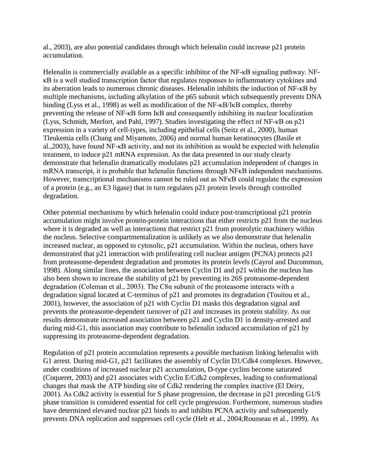al., 2003), are also potential candidates through which helenalin could increase p21 protein accumulation.

Helenalin is commercially available as a specific inhibitor of the NF-κB signaling pathway. NFκB is a well studied transcription factor that regulates responses to inflammatory cytokines and its aberration leads to numerous chronic diseases. Helenalin inhibits the induction of NF-κB by multiple mechanisms, including alkylation of the p65 subunit which subsequently prevents DNA binding (Lyss et al., 1998) as well as modification of the NF-κB/IκB complex, thereby preventing the release of NF-κB form IκB and consequently inhibiting its nuclear localization (Lyss, Schmidt, Merfort, and Pahl, 1997). Studies investigating the effect of NF-κB on p21 expression in a variety of cell-types, including epithelial cells (Seitz et al., 2000), human Tleukemia cells (Chang and Miyamoto, 2006) and normal human keratinocytes (Basile et al.,2003), have found NF-κB activity, and not its inhibition as would be expected with helenalin treatment, to induce p21 mRNA expression. As the data presented in our study clearly demonstrate that helenalin dramatically modulates p21 accumulation independent of changes in mRNA transcript, it is probable that helenalin functions through NFκB independent mechanisms. However, transcriptional mechanisms cannot be ruled out as NFKB could regulate the expression of a protein (e.g., an E3 ligase) that in turn regulates p21 protein levels through controlled degradation.

Other potential mechanisms by which helenalin could induce post-transcriptional p21 protein accumulation might involve protein-protein interactions that either restricts p21 from the nucleus where it is degraded as well as interactions that restrict p21 from proteolytic machinery within the nucleus. Selective compartmentalization is unlikely as we also demonstrate that helenalin increased nuclear, as opposed to cytosolic, p21 accumulation. Within the nucleus, others have demonstrated that p21 interaction with proliferating cell nuclear antigen (PCNA) protects p21 from proteasome-dependent degradation and promotes its protein levels (Cayrol and Ducommun, 1998). Along similar lines, the association between Cyclin D1 and p21 within the nucleus has also been shown to increase the stability of p21 by preventing its 26S proteasome-dependent degradation (Coleman et al., 2003). The C8α subunit of the proteasome interacts with a degradation signal located at C-terminus of p21 and promotes its degradation (Touitou et al., 2001), however, the association of p21 with Cyclin D1 masks this degradation signal and prevents the proteasome-dependent turnover of p21 and increases its protein stability. As our results demonstrate increased association between p21 and Cyclin D1 in density-arrested and during mid-G1, this association may contribute to helenalin induced accumulation of p21 by suppressing its proteasome-dependent degradation.

Regulation of p21 protein accumulation represents a possible mechanism linking helenalin with G1 arrest. During mid-G1, p21 facilitates the assembly of Cyclin D1/Cdk4 complexes. However, under conditions of increased nuclear p21 accumulation, D-type cyclins become saturated (Coqueret, 2003) and p21 associates with Cyclin E/Cdk2 complexes, leading to conformational changes that mask the ATP binding site of Cdk2 rendering the complex inactive (El Deiry, 2001). As Cdk2 activity is essential for S phase progression, the decrease in p21 preceding G1/S phase transition is considered essential for cell cycle progression. Furthermore, numerous studies have determined elevated nuclear p21 binds to and inhibits PCNA activity and subsequently prevents DNA replication and suppresses cell cycle (Helt et al., 2004;Rousseau et al., 1999). As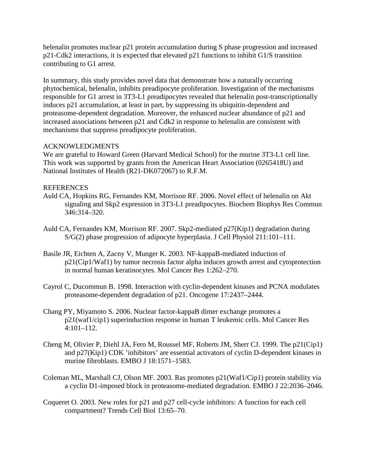helenalin promotes nuclear p21 protein accumulation during S phase progression and increased p21-Cdk2 interactions, it is expected that elevated p21 functions to inhibit G1/S transition contributing to G1 arrest.

In summary, this study provides novel data that demonstrate how a naturally occurring phytochemical, helenalin, inhibits preadipocyte proliferation. Investigation of the mechanisms responsible for G1 arrest in 3T3-L1 preadipocytes revealed that helenalin post-transcriptionally induces p21 accumulation, at least in part, by suppressing its ubiquitin-dependent and proteasome-dependent degradation. Moreover, the enhanced nuclear abundance of p21 and increased associations between p21 and Cdk2 in response to helenalin are consistent with mechanisms that suppress preadipocyte proliferation.

## ACKNOWLEDGMENTS

We are grateful to Howard Green (Harvard Medical School) for the murine 3T3-L1 cell line. This work was supported by grants from the American Heart Association (0265418U) and National Institutes of Health (R21-DK072067) to R.F.M.

## **REFERENCES**

- Auld CA, Hopkins RG, Fernandes KM, Morrison RF. 2006. Novel effect of helenalin on Akt signaling and Skp2 expression in 3T3-L1 preadipocytes. Biochem Biophys Res Commun 346:314–320.
- Auld CA, Fernandes KM, Morrison RF. 2007. Skp2-mediated p27(Kip1) degradation during S/G(2) phase progression of adipocyte hyperplasia. J Cell Physiol 211:101–111.
- Basile JR, Eichten A, Zacny V, Munger K. 2003. NF-kappaB-mediated induction of p21(Cip1/Waf1) by tumor necrosis factor alpha induces growth arrest and cytoprotection in normal human keratinocytes. Mol Cancer Res 1:262–270.
- Cayrol C, Ducommun B. 1998. Interaction with cyclin-dependent kinases and PCNA modulates proteasome-dependent degradation of p21. Oncogene 17:2437–2444.
- Chang PY, Miyamoto S. 2006. Nuclear factor-kappaB dimer exchange promotes a p21(waf1/cip1) superinduction response in human T leukemic cells. Mol Cancer Res 4:101–112.
- Cheng M, Olivier P, Diehl JA, Fero M, Roussel MF, Roberts JM, Sherr CJ. 1999. The p21(Cip1) and p27(Kip1) CDK 'inhibitors' are essential activators of cyclin D-dependent kinases in murine fibroblasts. EMBO J 18:1571–1583.
- Coleman ML, Marshall CJ, Olson MF. 2003. Ras promotes p21(Waf1/Cip1) protein stability via a cyclin D1-imposed block in proteasome-mediated degradation. EMBO J 22:2036–2046.
- Coqueret O. 2003. New roles for p21 and p27 cell-cycle inhibitors: A function for each cell compartment? Trends Cell Biol 13:65–70.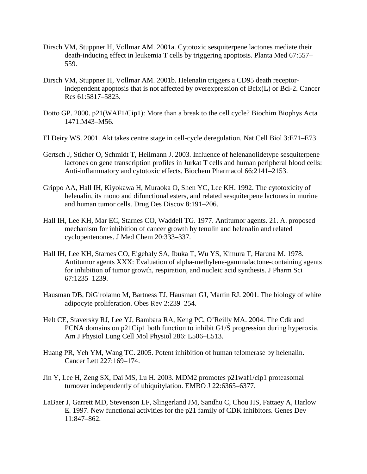- Dirsch VM, Stuppner H, Vollmar AM. 2001a. Cytotoxic sesquiterpene lactones mediate their death-inducing effect in leukemia T cells by triggering apoptosis. Planta Med 67:557– 559.
- Dirsch VM, Stuppner H, Vollmar AM. 2001b. Helenalin triggers a CD95 death receptorindependent apoptosis that is not affected by overexpression of Bclx(L) or Bcl-2. Cancer Res 61:5817–5823.
- Dotto GP. 2000. p21(WAF1/Cip1): More than a break to the cell cycle? Biochim Biophys Acta 1471:M43–M56.
- El Deiry WS. 2001. Akt takes centre stage in cell-cycle deregulation. Nat Cell Biol 3:E71–E73.
- Gertsch J, Sticher O, Schmidt T, Heilmann J. 2003. Influence of helenanolidetype sesquiterpene lactones on gene transcription profiles in Jurkat T cells and human peripheral blood cells: Anti-inflammatory and cytotoxic effects. Biochem Pharmacol 66:2141–2153.
- Grippo AA, Hall IH, Kiyokawa H, Muraoka O, Shen YC, Lee KH. 1992. The cytotoxicity of helenalin, its mono and difunctional esters, and related sesquiterpene lactones in murine and human tumor cells. Drug Des Discov 8:191–206.
- Hall IH, Lee KH, Mar EC, Starnes CO, Waddell TG. 1977. Antitumor agents. 21. A. proposed mechanism for inhibition of cancer growth by tenulin and helenalin and related cyclopentenones. J Med Chem 20:333–337.
- Hall IH, Lee KH, Starnes CO, Eigebaly SA, Ibuka T, Wu YS, Kimura T, Haruna M. 1978. Antitumor agents XXX: Evaluation of alpha-methylene-gammalactone-containing agents for inhibition of tumor growth, respiration, and nucleic acid synthesis. J Pharm Sci 67:1235–1239.
- Hausman DB, DiGirolamo M, Bartness TJ, Hausman GJ, Martin RJ. 2001. The biology of white adipocyte proliferation. Obes Rev 2:239–254.
- Helt CE, Staversky RJ, Lee YJ, Bambara RA, Keng PC, O'Reilly MA. 2004. The Cdk and PCNA domains on p21Cip1 both function to inhibit G1/S progression during hyperoxia. Am J Physiol Lung Cell Mol Physiol 286: L506–L513.
- Huang PR, Yeh YM, Wang TC. 2005. Potent inhibition of human telomerase by helenalin. Cancer Lett 227:169–174.
- Jin Y, Lee H, Zeng SX, Dai MS, Lu H. 2003. MDM2 promotes p21waf1/cip1 proteasomal turnover independently of ubiquitylation. EMBO J 22:6365–6377.
- LaBaer J, Garrett MD, Stevenson LF, Slingerland JM, Sandhu C, Chou HS, Fattaey A, Harlow E. 1997. New functional activities for the p21 family of CDK inhibitors. Genes Dev 11:847–862.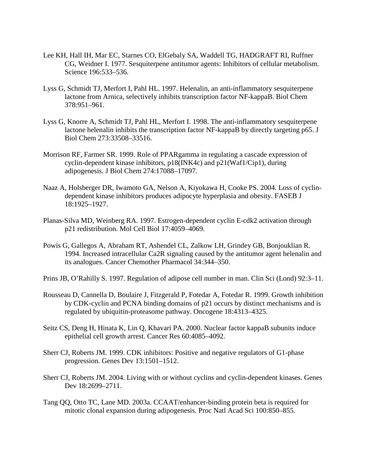- Lee KH, Hall IH, Mar EC, Starnes CO, ElGebaly SA, Waddell TG, HADGRAFT RI, Ruffner CG, Weidner I. 1977. Sesquiterpene antitumor agents: Inhibitors of cellular metabolism. Science 196:533–536.
- Lyss G, Schmidt TJ, Merfort I, Pahl HL. 1997. Helenalin, an anti-inflammatory sesquiterpene lactone from Arnica, selectively inhibits transcription factor NF-kappaB. Biol Chem 378:951–961.
- Lyss G, Knorre A, Schmidt TJ, Pahl HL, Merfort I. 1998. The anti-inflammatory sesquiterpene lactone helenalin inhibits the transcription factor NF-kappaB by directly targeting p65. J Biol Chem 273:33508–33516.
- Morrison RF, Farmer SR. 1999. Role of PPARgamma in regulating a cascade expression of cyclin-dependent kinase inhibitors, p18(INK4c) and p21(Waf1/Cip1), during adipogenesis. J Biol Chem 274:17088–17097.
- Naaz A, Holsberger DR, Iwamoto GA, Nelson A, Kiyokawa H, Cooke PS. 2004. Loss of cyclindependent kinase inhibitors produces adipocyte hyperplasia and obesity. FASEB J 18:1925–1927.
- Planas-Silva MD, Weinberg RA. 1997. Estrogen-dependent cyclin E-cdk2 activation through p21 redistribution. Mol Cell Biol 17:4059–4069.
- Powis G, Gallegos A, Abraham RT, Ashendel CL, Zalkow LH, Grindey GB, Bonjouklian R. 1994. Increased intracellular Ca2R signaling caused by the antitumor agent helenalin and its analogues. Cancer Chemother Pharmacol 34:344–350.
- Prins JB, O'Rahilly S. 1997. Regulation of adipose cell number in man. Clin Sci (Lond) 92:3–11.
- Rousseau D, Cannella D, Boulaire J, Fitzgerald P, Fotedar A, Fotedar R. 1999. Growth inhibition by CDK-cyclin and PCNA binding domains of p21 occurs by distinct mechanisms and is regulated by ubiquitin-proteasome pathway. Oncogene 18:4313–4325.
- Seitz CS, Deng H, Hinata K, Lin Q, Khavari PA. 2000. Nuclear factor kappaB subunits induce epithelial cell growth arrest. Cancer Res 60:4085–4092.
- Sherr CJ, Roberts JM. 1999. CDK inhibitors: Positive and negative regulators of G1-phase progression. Genes Dev 13:1501–1512.
- Sherr CJ, Roberts JM. 2004. Living with or without cyclins and cyclin-dependent kinases. Genes Dev 18:2699-2711.
- Tang QQ, Otto TC, Lane MD. 2003a. CCAAT/enhancer-binding protein beta is required for mitotic clonal expansion during adipogenesis. Proc Natl Acad Sci 100:850–855.